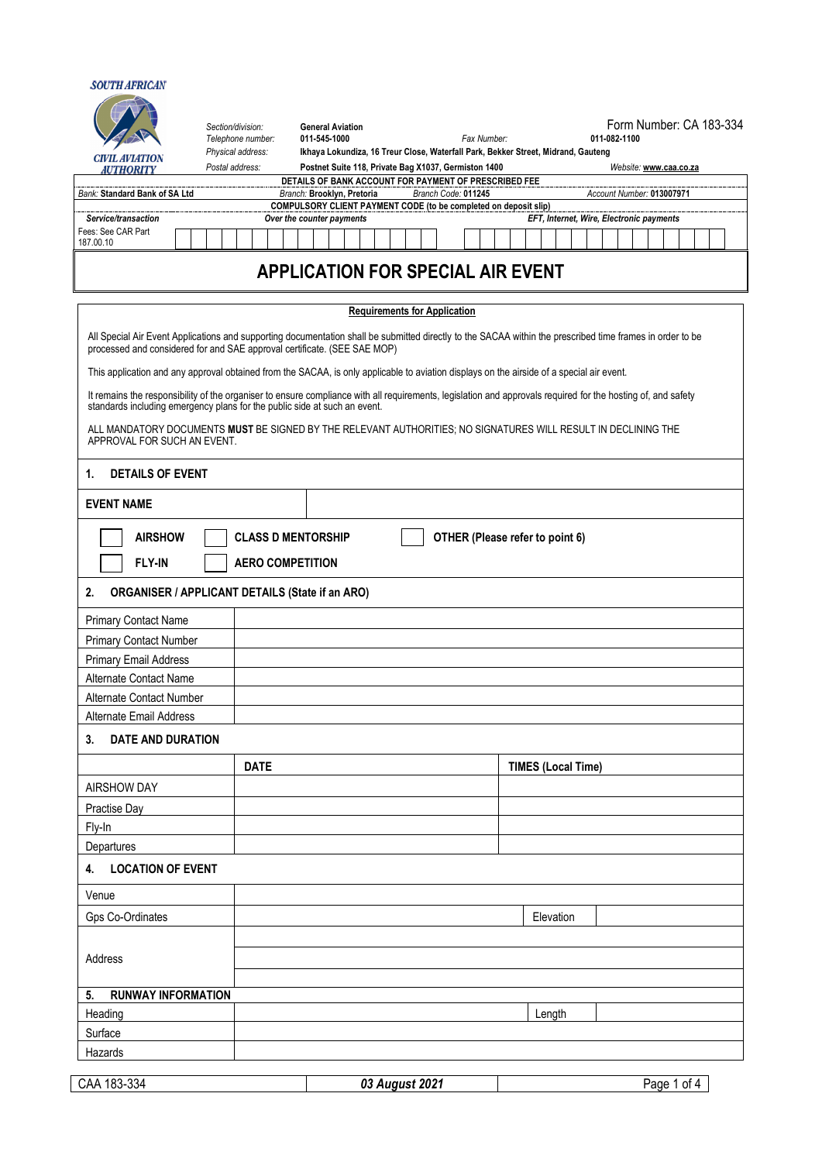## **SOUTH AFRICAN** *Section/division:* **General Aviation** Form Number: CA 183-334 *Telephone number:* **011-545-1000** *Fax Number:* **011-082-1100** *Physical address:* **Ikhaya Lokundiza, 16 Treur Close, Waterfall Park, Bekker Street, Midrand, Gauteng CIVIL AVIATION** Postal address: **Postnet Suite 118, Private Bag X1037, Germiston 1400 Website: [www.caa.co.za](http://www.caa.co.za/) AUTHORITY DETAILS OF BANK ACCOUNT FOR PAYMENT OF PRESCRIBED FEE** *Bank:* **Standard Bank of SA Ltd** *Branch:* **Brooklyn, Pretoria** *Branch Code:* **011245** *Account Number:* **013007971 COMPULSORY CLIENT PAYMENT CODE** (to be completed on deposit slip)<br>Over the counter payments<br>Over the counter payments *Service/transaction Over the counter payments EFT, Internet, Wire, Electronic payments* Fees: See CAR Part 187.00.10 **APPLICATION FOR SPECIAL AIR EVENT Requirements for Application** All Special Air Event Applications and supporting documentation shall be submitted directly to the SACAA within the prescribed time frames in order to be processed and considered for and SAE approval certificate. (SEE SAE MOP) This application and any approval obtained from the SACAA, is only applicable to aviation displays on the airside of a special air event. It remains the responsibility of the organiser to ensure compliance with all requirements, legislation and approvals required for the hosting of, and safety standards including emergency plans for the public side at such an event. ALL MANDATORY DOCUMENTS **MUST** BE SIGNED BY THE RELEVANT AUTHORITIES; NO SIGNATURES WILL RESULT IN DECLINING THE APPROVAL FOR SUCH AN EVENT. **1. DETAILS OF EVENT EVENT NAME AIRSHOW CLASS D MENTORSHIP OTHER (Please refer to point 6) FLY-IN AERO COMPETITION 2. ORGANISER / APPLICANT DETAILS (State if an ARO)** Primary Contact Name Primary Contact Number Primary Email Address Alternate Contact Name Alternate Contact Number Alternate Email Address **3. DATE AND DURATION DATE TIMES (Local Time)** AIRSHOW DAY Practise Day Fly-In **Departures 4. LOCATION OF EVENT** Venue Gps Co-Ordinates **Elevation Elevation Elevation Elevation** Address **5. RUNWAY INFORMATION** Heading **Length Contract Contract Contract Contract Contract Contract Contract Contract Contract Contract Contract Contract Contract Contract Contract Contract Contract Contract Contract Contract Contract Contract Contract** Surface Hazards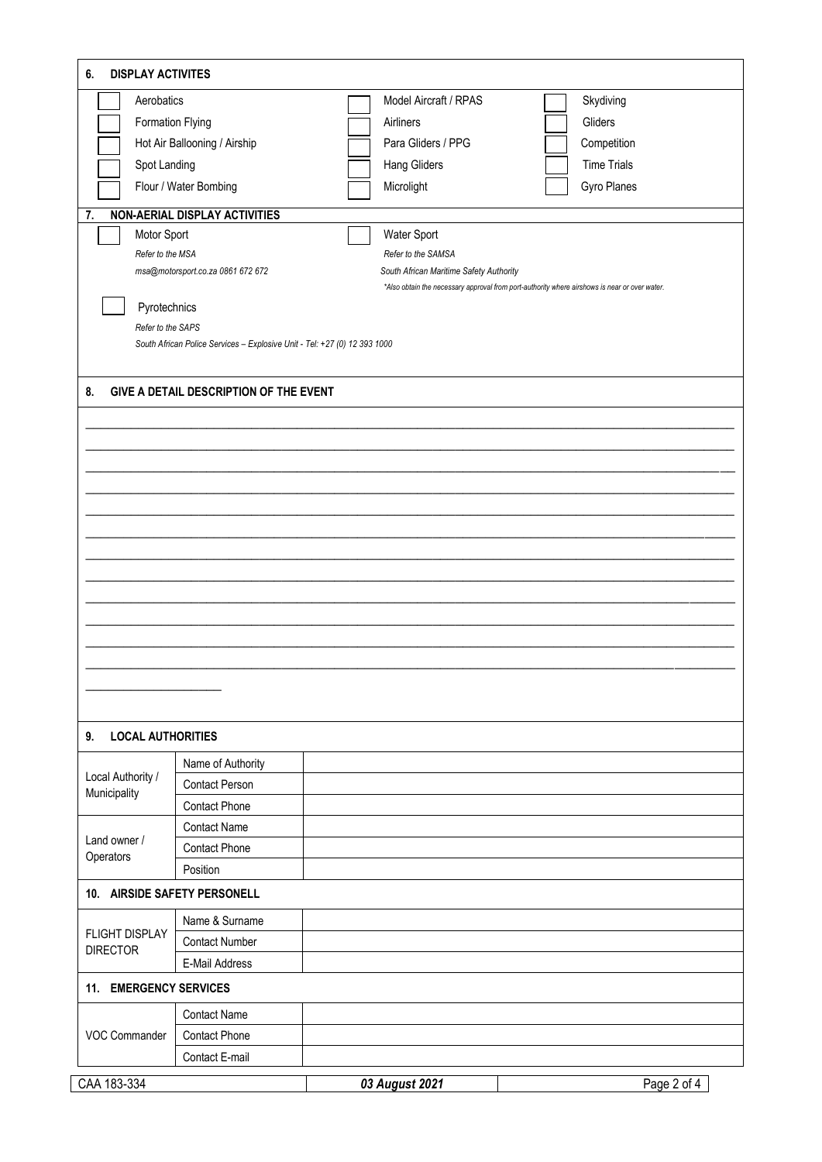| Aerobatics                                                           |                                                                           |                     | Model Aircraft / RPAS                   | Skydiving                                                                                     |
|----------------------------------------------------------------------|---------------------------------------------------------------------------|---------------------|-----------------------------------------|-----------------------------------------------------------------------------------------------|
| Formation Flying                                                     |                                                                           | Airliners           |                                         | Gliders                                                                                       |
|                                                                      | Hot Air Ballooning / Airship                                              | Para Gliders / PPG  |                                         | Competition                                                                                   |
| Spot Landing                                                         |                                                                           | <b>Hang Gliders</b> |                                         | <b>Time Trials</b>                                                                            |
|                                                                      | Flour / Water Bombing                                                     | Microlight          |                                         | Gyro Planes                                                                                   |
| 7.                                                                   | <b>NON-AERIAL DISPLAY ACTIVITIES</b>                                      |                     |                                         |                                                                                               |
| Motor Sport                                                          |                                                                           | Water Sport         |                                         |                                                                                               |
| Refer to the MSA                                                     |                                                                           | Refer to the SAMSA  |                                         |                                                                                               |
|                                                                      | msa@motorsport.co.za 0861 672 672                                         |                     | South African Maritime Safety Authority |                                                                                               |
|                                                                      |                                                                           |                     |                                         | *Also obtain the necessary approval from port-authority where airshows is near or over water. |
| Pyrotechnics<br>Refer to the SAPS                                    |                                                                           |                     |                                         |                                                                                               |
|                                                                      | South African Police Services - Explosive Unit - Tel: +27 (0) 12 393 1000 |                     |                                         |                                                                                               |
|                                                                      |                                                                           |                     |                                         |                                                                                               |
| 8.                                                                   | GIVE A DETAIL DESCRIPTION OF THE EVENT                                    |                     |                                         |                                                                                               |
|                                                                      |                                                                           |                     |                                         |                                                                                               |
|                                                                      |                                                                           |                     |                                         |                                                                                               |
|                                                                      |                                                                           |                     |                                         |                                                                                               |
|                                                                      |                                                                           |                     |                                         |                                                                                               |
|                                                                      |                                                                           |                     |                                         |                                                                                               |
|                                                                      |                                                                           |                     |                                         |                                                                                               |
|                                                                      |                                                                           |                     |                                         |                                                                                               |
|                                                                      |                                                                           |                     |                                         |                                                                                               |
|                                                                      |                                                                           |                     |                                         |                                                                                               |
|                                                                      |                                                                           |                     |                                         |                                                                                               |
|                                                                      |                                                                           |                     |                                         |                                                                                               |
|                                                                      |                                                                           |                     |                                         |                                                                                               |
|                                                                      |                                                                           |                     |                                         |                                                                                               |
|                                                                      |                                                                           |                     |                                         |                                                                                               |
|                                                                      |                                                                           |                     |                                         |                                                                                               |
|                                                                      |                                                                           |                     |                                         |                                                                                               |
|                                                                      |                                                                           |                     |                                         |                                                                                               |
| <b>LOCAL AUTHORITIES</b>                                             |                                                                           |                     |                                         |                                                                                               |
|                                                                      | Name of Authority                                                         |                     |                                         |                                                                                               |
|                                                                      | Contact Person                                                            |                     |                                         |                                                                                               |
|                                                                      |                                                                           |                     |                                         |                                                                                               |
|                                                                      | <b>Contact Phone</b>                                                      |                     |                                         |                                                                                               |
|                                                                      | <b>Contact Name</b>                                                       |                     |                                         |                                                                                               |
|                                                                      | <b>Contact Phone</b>                                                      |                     |                                         |                                                                                               |
|                                                                      | Position                                                                  |                     |                                         |                                                                                               |
| 9.<br>Local Authority /<br>Municipality<br>Land owner /<br>Operators | 10. AIRSIDE SAFETY PERSONELL                                              |                     |                                         |                                                                                               |
| <b>FLIGHT DISPLAY</b>                                                | Name & Surname                                                            |                     |                                         |                                                                                               |
|                                                                      | <b>Contact Number</b>                                                     |                     |                                         |                                                                                               |
|                                                                      | E-Mail Address                                                            |                     |                                         |                                                                                               |
|                                                                      |                                                                           |                     |                                         |                                                                                               |
| <b>DIRECTOR</b><br>11. EMERGENCY SERVICES                            | <b>Contact Name</b>                                                       |                     |                                         |                                                                                               |
|                                                                      | <b>Contact Phone</b>                                                      |                     |                                         |                                                                                               |
| VOC Commander                                                        | Contact E-mail                                                            |                     |                                         |                                                                                               |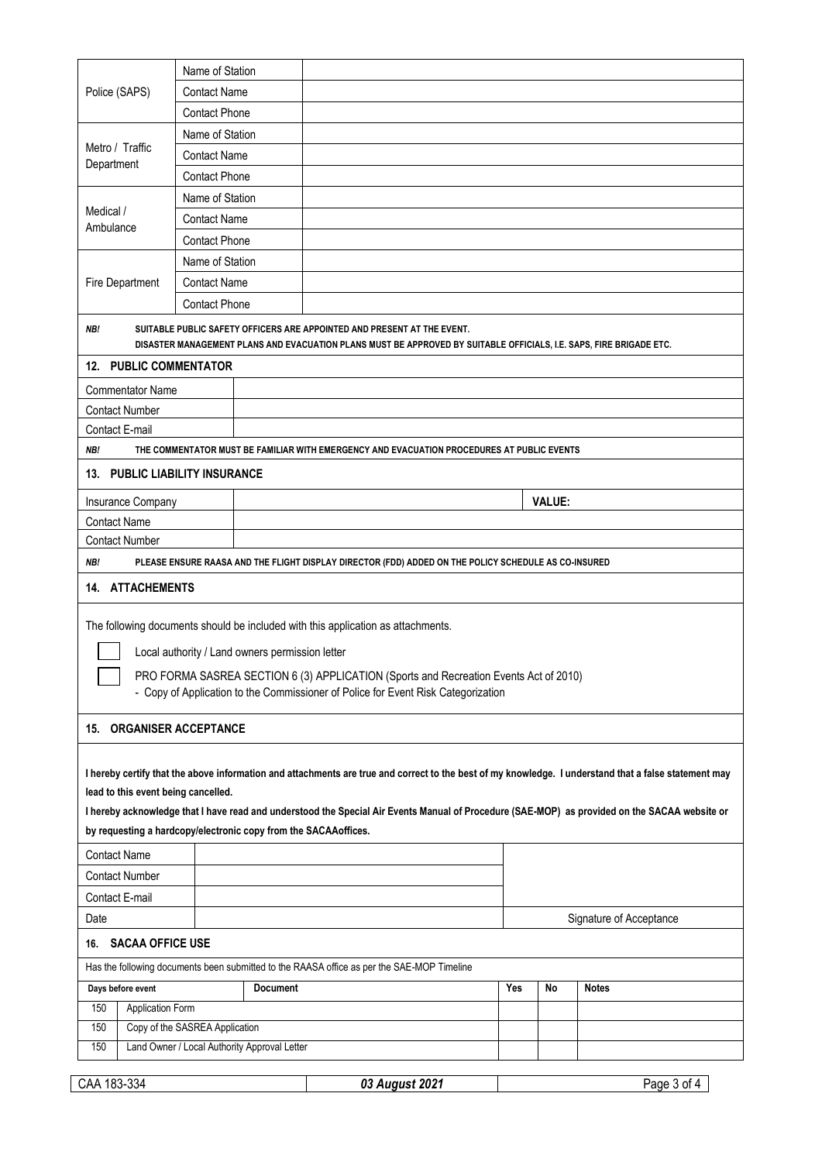|                                                                                                                               | Name of Station                |                                                 |                                                                                                                                                                                                |     |               |                                                                                                                                                                                                                                                                                                        |
|-------------------------------------------------------------------------------------------------------------------------------|--------------------------------|-------------------------------------------------|------------------------------------------------------------------------------------------------------------------------------------------------------------------------------------------------|-----|---------------|--------------------------------------------------------------------------------------------------------------------------------------------------------------------------------------------------------------------------------------------------------------------------------------------------------|
| Police (SAPS)                                                                                                                 | <b>Contact Name</b>            |                                                 |                                                                                                                                                                                                |     |               |                                                                                                                                                                                                                                                                                                        |
| Metro / Traffic<br>Department<br>Medical /                                                                                    | <b>Contact Phone</b>           |                                                 |                                                                                                                                                                                                |     |               |                                                                                                                                                                                                                                                                                                        |
|                                                                                                                               | Name of Station                |                                                 |                                                                                                                                                                                                |     |               |                                                                                                                                                                                                                                                                                                        |
|                                                                                                                               | <b>Contact Name</b>            |                                                 |                                                                                                                                                                                                |     |               |                                                                                                                                                                                                                                                                                                        |
|                                                                                                                               | <b>Contact Phone</b>           |                                                 |                                                                                                                                                                                                |     |               |                                                                                                                                                                                                                                                                                                        |
|                                                                                                                               | Name of Station                |                                                 |                                                                                                                                                                                                |     |               |                                                                                                                                                                                                                                                                                                        |
|                                                                                                                               | <b>Contact Name</b>            |                                                 |                                                                                                                                                                                                |     |               |                                                                                                                                                                                                                                                                                                        |
| Ambulance<br><b>Fire Department</b>                                                                                           | <b>Contact Phone</b>           |                                                 |                                                                                                                                                                                                |     |               |                                                                                                                                                                                                                                                                                                        |
|                                                                                                                               | Name of Station                |                                                 |                                                                                                                                                                                                |     |               |                                                                                                                                                                                                                                                                                                        |
|                                                                                                                               | <b>Contact Name</b>            |                                                 |                                                                                                                                                                                                |     |               |                                                                                                                                                                                                                                                                                                        |
|                                                                                                                               | <b>Contact Phone</b>           |                                                 |                                                                                                                                                                                                |     |               |                                                                                                                                                                                                                                                                                                        |
| NB!                                                                                                                           |                                |                                                 | SUITABLE PUBLIC SAFETY OFFICERS ARE APPOINTED AND PRESENT AT THE EVENT.<br>DISASTER MANAGEMENT PLANS AND EVACUATION PLANS MUST BE APPROVED BY SUITABLE OFFICIALS, I.E. SAPS, FIRE BRIGADE ETC. |     |               |                                                                                                                                                                                                                                                                                                        |
| <b>12. PUBLIC COMMENTATOR</b>                                                                                                 |                                |                                                 |                                                                                                                                                                                                |     |               |                                                                                                                                                                                                                                                                                                        |
| <b>Commentator Name</b>                                                                                                       |                                |                                                 |                                                                                                                                                                                                |     |               |                                                                                                                                                                                                                                                                                                        |
| <b>Contact Number</b>                                                                                                         |                                |                                                 |                                                                                                                                                                                                |     |               |                                                                                                                                                                                                                                                                                                        |
| Contact E-mail                                                                                                                |                                |                                                 |                                                                                                                                                                                                |     |               |                                                                                                                                                                                                                                                                                                        |
| NB!                                                                                                                           |                                |                                                 | THE COMMENTATOR MUST BE FAMILIAR WITH EMERGENCY AND EVACUATION PROCEDURES AT PUBLIC EVENTS                                                                                                     |     |               |                                                                                                                                                                                                                                                                                                        |
| 13. PUBLIC LIABILITY INSURANCE                                                                                                |                                |                                                 |                                                                                                                                                                                                |     |               |                                                                                                                                                                                                                                                                                                        |
| Insurance Company                                                                                                             |                                |                                                 |                                                                                                                                                                                                |     | <b>VALUE:</b> |                                                                                                                                                                                                                                                                                                        |
| <b>Contact Name</b>                                                                                                           |                                |                                                 |                                                                                                                                                                                                |     |               |                                                                                                                                                                                                                                                                                                        |
| <b>Contact Number</b>                                                                                                         |                                |                                                 |                                                                                                                                                                                                |     |               |                                                                                                                                                                                                                                                                                                        |
| 14. ATTACHEMENTS                                                                                                              |                                | Local authority / Land owners permission letter | The following documents should be included with this application as attachments.<br>PRO FORMA SASREA SECTION 6 (3) APPLICATION (Sports and Recreation Events Act of 2010)                      |     |               |                                                                                                                                                                                                                                                                                                        |
| <b>15. ORGANISER ACCEPTANCE</b>                                                                                               |                                |                                                 | - Copy of Application to the Commissioner of Police for Event Risk Categorization                                                                                                              |     |               |                                                                                                                                                                                                                                                                                                        |
|                                                                                                                               |                                |                                                 |                                                                                                                                                                                                |     |               |                                                                                                                                                                                                                                                                                                        |
| lead to this event being cancelled.<br>by requesting a hardcopy/electronic copy from the SACAAoffices.<br><b>Contact Name</b> |                                |                                                 |                                                                                                                                                                                                |     |               | I hereby certify that the above information and attachments are true and correct to the best of my knowledge. I understand that a false statement may<br>I hereby acknowledge that I have read and understood the Special Air Events Manual of Procedure (SAE-MOP) as provided on the SACAA website or |
| <b>Contact Number</b>                                                                                                         |                                |                                                 |                                                                                                                                                                                                |     |               |                                                                                                                                                                                                                                                                                                        |
| Contact E-mail                                                                                                                |                                |                                                 |                                                                                                                                                                                                |     |               |                                                                                                                                                                                                                                                                                                        |
| Date                                                                                                                          |                                |                                                 |                                                                                                                                                                                                |     |               |                                                                                                                                                                                                                                                                                                        |
|                                                                                                                               |                                |                                                 |                                                                                                                                                                                                |     |               | Signature of Acceptance                                                                                                                                                                                                                                                                                |
| 16. SACAA OFFICE USE                                                                                                          |                                |                                                 |                                                                                                                                                                                                |     |               |                                                                                                                                                                                                                                                                                                        |
|                                                                                                                               |                                |                                                 | Has the following documents been submitted to the RAASA office as per the SAE-MOP Timeline                                                                                                     |     |               |                                                                                                                                                                                                                                                                                                        |
| Days before event                                                                                                             |                                | <b>Document</b>                                 |                                                                                                                                                                                                | Yes | No            | <b>Notes</b>                                                                                                                                                                                                                                                                                           |
| 150<br>Application Form                                                                                                       |                                |                                                 |                                                                                                                                                                                                |     |               |                                                                                                                                                                                                                                                                                                        |
| 150                                                                                                                           | Copy of the SASREA Application |                                                 |                                                                                                                                                                                                |     |               |                                                                                                                                                                                                                                                                                                        |
| 150                                                                                                                           |                                | Land Owner / Local Authority Approval Letter    |                                                                                                                                                                                                |     |               |                                                                                                                                                                                                                                                                                                        |
| CAA 183-334                                                                                                                   |                                |                                                 | 03 August 2021                                                                                                                                                                                 |     |               | Page 3 of 4                                                                                                                                                                                                                                                                                            |
|                                                                                                                               |                                |                                                 |                                                                                                                                                                                                |     |               |                                                                                                                                                                                                                                                                                                        |